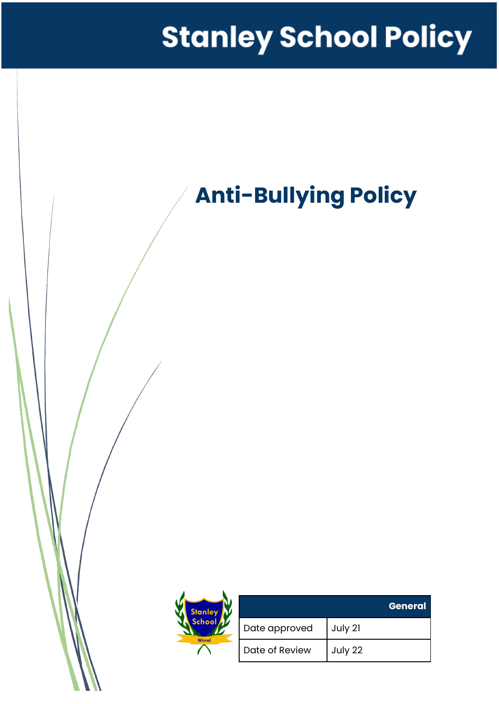# **Stanley School Policy**

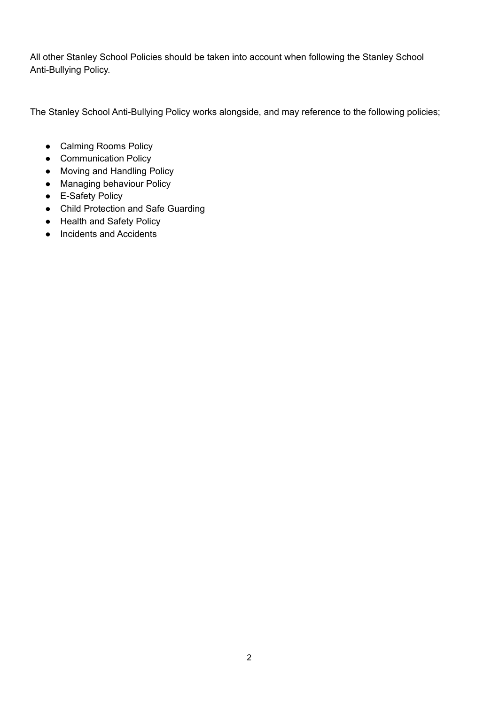All other Stanley School Policies should be taken into account when following the Stanley School Anti-Bullying Policy.

The Stanley School Anti-Bullying Policy works alongside, and may reference to the following policies;

- Calming Rooms Policy
- Communication Policy
- Moving and Handling Policy
- Managing behaviour Policy
- E-Safety Policy
- Child Protection and Safe Guarding
- Health and Safety Policy
- Incidents and Accidents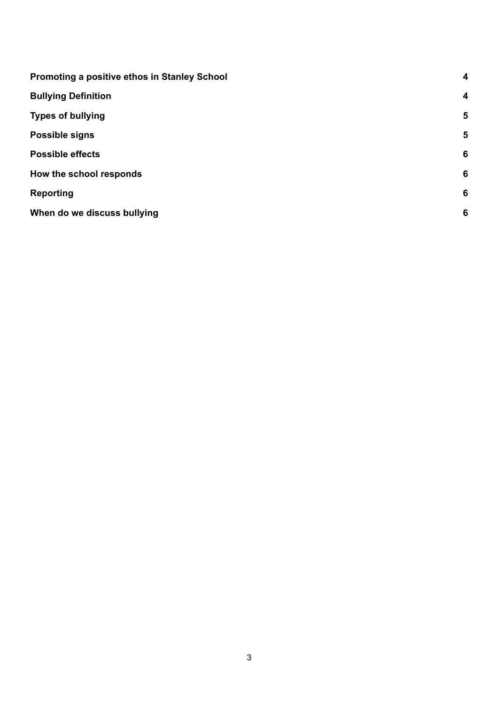| Promoting a positive ethos in Stanley School | 4                |
|----------------------------------------------|------------------|
| <b>Bullying Definition</b>                   | $\boldsymbol{4}$ |
| <b>Types of bullying</b>                     | 5                |
| Possible signs                               | 5                |
| <b>Possible effects</b>                      | 6                |
| How the school responds                      | 6                |
| <b>Reporting</b>                             | 6                |
| When do we discuss bullying                  | 6                |
|                                              |                  |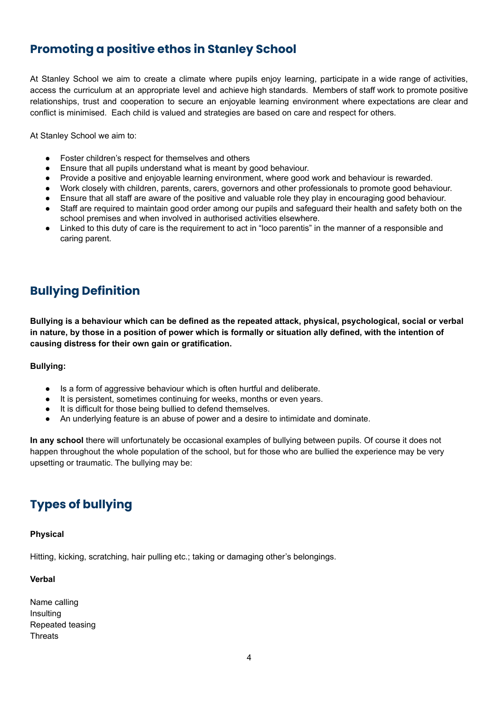## <span id="page-3-0"></span>**Promoting a positive ethos in Stanley School**

At Stanley School we aim to create a climate where pupils enjoy learning, participate in a wide range of activities, access the curriculum at an appropriate level and achieve high standards. Members of staff work to promote positive relationships, trust and cooperation to secure an enjoyable learning environment where expectations are clear and conflict is minimised. Each child is valued and strategies are based on care and respect for others.

At Stanley School we aim to:

- Foster children's respect for themselves and others
- **●** Ensure that all pupils understand what is meant by good behaviour.
- **●** Provide a positive and enjoyable learning environment, where good work and behaviour is rewarded.
- **●** Work closely with children, parents, carers, governors and other professionals to promote good behaviour.
- **●** Ensure that all staff are aware of the positive and valuable role they play in encouraging good behaviour.
- Staff are required to maintain good order among our pupils and safeguard their health and safety both on the school premises and when involved in authorised activities elsewhere.
- Linked to this duty of care is the requirement to act in "loco parentis" in the manner of a responsible and caring parent.

## <span id="page-3-1"></span>**Bullying Definition**

Bullying is a behaviour which can be defined as the repeated attack, physical, psychological, social or verbal in nature, by those in a position of power which is formally or situation ally defined, with the intention of **causing distress for their own gain or gratification.**

### **Bullying:**

- Is a form of aggressive behaviour which is often hurtful and deliberate.
- It is persistent, sometimes continuing for weeks, months or even years.
- It is difficult for those being bullied to defend themselves.
- An underlying feature is an abuse of power and a desire to intimidate and dominate.

**In any school** there will unfortunately be occasional examples of bullying between pupils. Of course it does not happen throughout the whole population of the school, but for those who are bullied the experience may be very upsetting or traumatic. The bullying may be:

# <span id="page-3-2"></span>**Types of bullying**

#### **Physical**

Hitting, kicking, scratching, hair pulling etc.; taking or damaging other's belongings.

#### **Verbal**

Name calling **Insulting** Repeated teasing **Threats**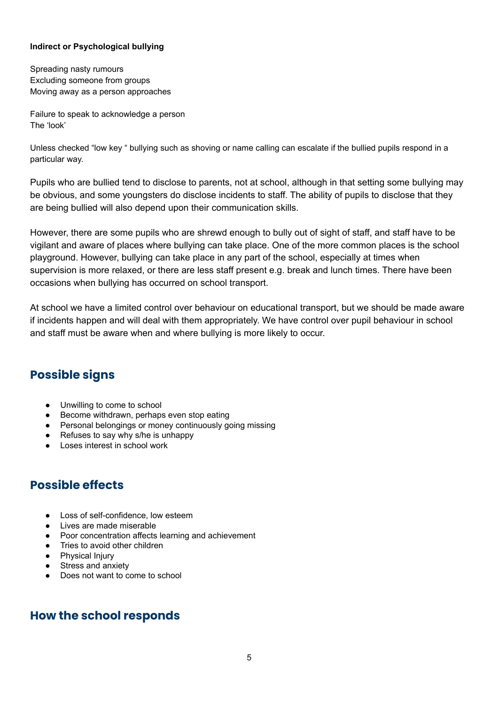## **Indirect or Psychological bullying**

Spreading nasty rumours Excluding someone from groups Moving away as a person approaches

Failure to speak to acknowledge a person The 'look'

Unless checked "low key " bullying such as shoving or name calling can escalate if the bullied pupils respond in a particular way.

Pupils who are bullied tend to disclose to parents, not at school, although in that setting some bullying may be obvious, and some youngsters do disclose incidents to staff. The ability of pupils to disclose that they are being bullied will also depend upon their communication skills.

However, there are some pupils who are shrewd enough to bully out of sight of staff, and staff have to be vigilant and aware of places where bullying can take place. One of the more common places is the school playground. However, bullying can take place in any part of the school, especially at times when supervision is more relaxed, or there are less staff present e.g. break and lunch times. There have been occasions when bullying has occurred on school transport.

At school we have a limited control over behaviour on educational transport, but we should be made aware if incidents happen and will deal with them appropriately. We have control over pupil behaviour in school and staff must be aware when and where bullying is more likely to occur.

## <span id="page-4-0"></span>**Possible signs**

- Unwilling to come to school
- Become withdrawn, perhaps even stop eating
- Personal belongings or money continuously going missing
- Refuses to say why s/he is unhappy
- Loses interest in school work

## <span id="page-4-1"></span>**Possible effects**

- Loss of self-confidence, low esteem
- Lives are made miserable
- Poor concentration affects learning and achievement
- Tries to avoid other children
- Physical Injury
- Stress and anxiety
- Does not want to come to school

## <span id="page-4-2"></span>**How the school responds**